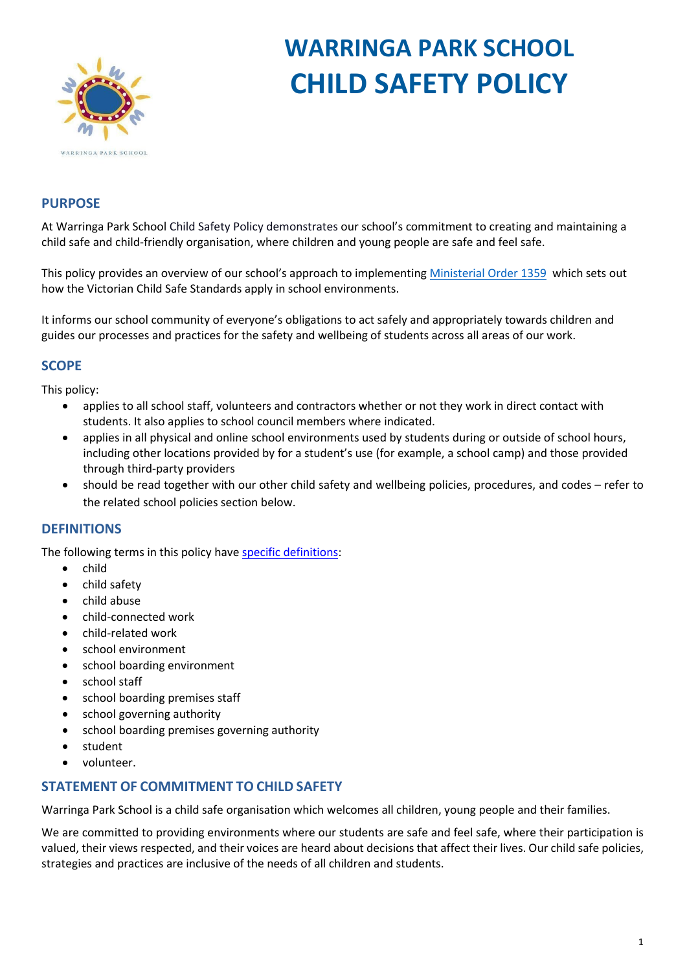

# **WARRINGA PARK SCHOOL CHILD SAFETY POLICY**

# **PURPOSE**

At Warringa Park School Child Safety Policy demonstrates our school's commitment to creating and maintaining a child safe and child-friendly organisation, where children and young people are safe and feel safe.

This policy provides an overview of our school's approach to implementing [Ministerial Order 1359](https://www.education.vic.gov.au/Documents/about/programs/health/protect/Ministerial_Order.pdf) which sets out how the Victorian Child Safe Standards apply in school environments.

It informs our school community of everyone's obligations to act safely and appropriately towards children and guides our processes and practices for the safety and wellbeing of students across all areas of our work.

# **SCOPE**

This policy:

- applies to all school staff, volunteers and contractors whether or not they work in direct contact with students. It also applies to school council members where indicated.
- applies in all physical and online school environments used by students during or outside of school hours, including other locations provided by for a student's use (for example, a school camp) and those provided through third-party providers
- should be read together with our other child safety and wellbeing policies, procedures, and codes refer to the related school policies section below.

# **DEFINITIONS**

The following terms in this policy have [specific definitions:](https://www.vic.gov.au/child-safe-standards-definitions)

- child
- child safety
- child abuse
- child-connected work
- child-related work
- school environment
- school boarding environment
- school staff
- school boarding premises staff
- school governing authority
- school boarding premises governing authority
- student
- volunteer.

# **STATEMENT OF COMMITMENT TO CHILD SAFETY**

Warringa Park School is a child safe organisation which welcomes all children, young people and their families.

We are committed to providing environments where our students are safe and feel safe, where their participation is valued, their views respected, and their voices are heard about decisions that affect their lives. Our child safe policies, strategies and practices are inclusive of the needs of all children and students.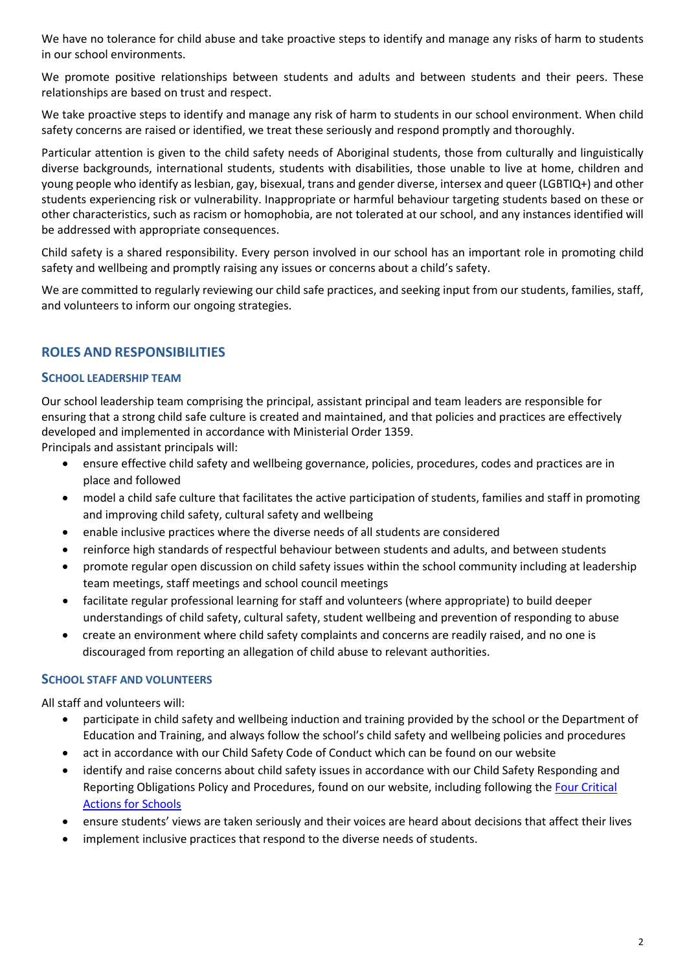We have no tolerance for child abuse and take proactive steps to identify and manage any risks of harm to students in our school environments.

We promote positive relationships between students and adults and between students and their peers. These relationships are based on trust and respect.

We take proactive steps to identify and manage any risk of harm to students in our school environment. When child safety concerns are raised or identified, we treat these seriously and respond promptly and thoroughly.

Particular attention is given to the child safety needs of Aboriginal students, those from culturally and linguistically diverse backgrounds, international students, students with disabilities, those unable to live at home, children and young people who identify as lesbian, gay, bisexual, trans and gender diverse, intersex and queer (LGBTIQ+) and other students experiencing risk or vulnerability. Inappropriate or harmful behaviour targeting students based on these or other characteristics, such as racism or homophobia, are not tolerated at our school, and any instances identified will be addressed with appropriate consequences.

Child safety is a shared responsibility. Every person involved in our school has an important role in promoting child safety and wellbeing and promptly raising any issues or concerns about a child's safety.

We are committed to regularly reviewing our child safe practices, and seeking input from our students, families, staff, and volunteers to inform our ongoing strategies.

# **ROLES AND RESPONSIBILITIES**

#### **SCHOOL LEADERSHIP TEAM**

Our school leadership team comprising the principal, assistant principal and team leaders are responsible for ensuring that a strong child safe culture is created and maintained, and that policies and practices are effectively developed and implemented in accordance with Ministerial Order 1359.

Principals and assistant principals will:

- ensure effective child safety and wellbeing governance, policies, procedures, codes and practices are in place and followed
- model a child safe culture that facilitates the active participation of students, families and staff in promoting and improving child safety, cultural safety and wellbeing
- enable inclusive practices where the diverse needs of all students are considered
- reinforce high standards of respectful behaviour between students and adults, and between students
- promote regular open discussion on child safety issues within the school community including at leadership team meetings, staff meetings and school council meetings
- facilitate regular professional learning for staff and volunteers (where appropriate) to build deeper understandings of child safety, cultural safety, student wellbeing and prevention of responding to abuse
- create an environment where child safety complaints and concerns are readily raised, and no one is discouraged from reporting an allegation of child abuse to relevant authorities.

#### **SCHOOL STAFF AND VOLUNTEERS**

All staff and volunteers will:

- participate in child safety and wellbeing induction and training provided by the school or the Department of Education and Training, and always follow the school's child safety and wellbeing policies and procedures
- act in accordance with our Child Safety Code of Conduct which can be found on our website
- identify and raise concerns about child safety issues in accordance with our Child Safety Responding and Reporting Obligations Policy and Procedures, found on our website, including following the [Four Critical](https://www.education.vic.gov.au/school/teachers/health/childprotection/Pages/report.aspx)  [Actions for Schools](https://www.education.vic.gov.au/school/teachers/health/childprotection/Pages/report.aspx)
- ensure students' views are taken seriously and their voices are heard about decisions that affect their lives
- implement inclusive practices that respond to the diverse needs of students.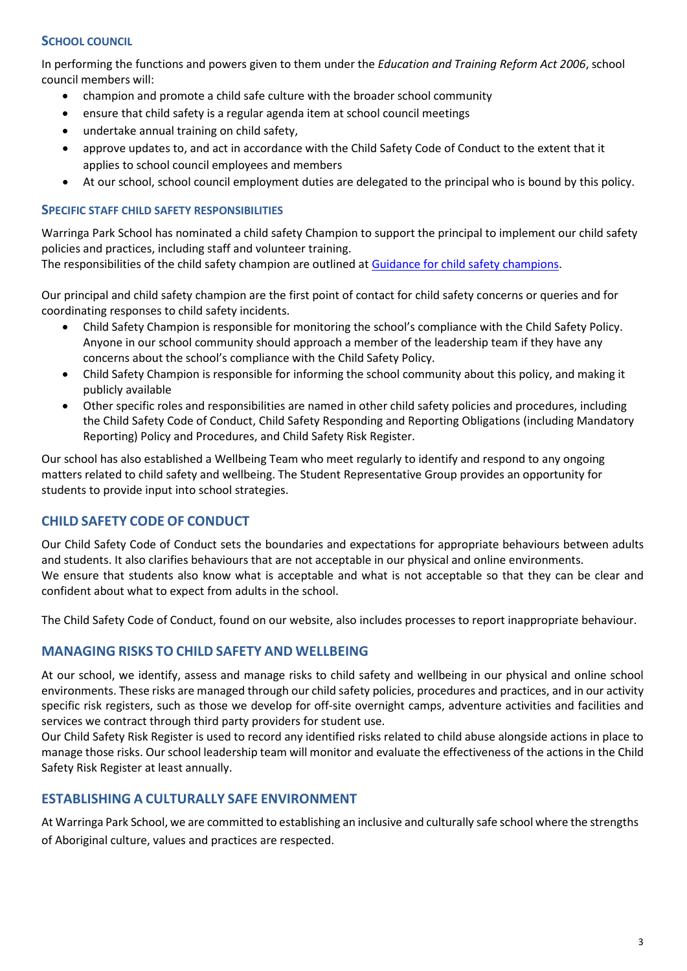## **SCHOOL COUNCIL**

In performing the functions and powers given to them under the *Education and Training Reform Act 2006*, school council members will:

- champion and promote a child safe culture with the broader school community
- ensure that child safety is a regular agenda item at school council meetings
- undertake annual training on child safety,
- approve updates to, and act in accordance with the Child Safety Code of Conduct to the extent that it applies to school council employees and members
- At our school, school council employment duties are delegated to the principal who is bound by this policy.

#### **SPECIFIC STAFF CHILD SAFETY RESPONSIBILITIES**

Warringa Park School has nominated a child safety Champion to support the principal to implement our child safety policies and practices, including staff and volunteer training.

The responsibilities of the child safety champion are outlined at [Guidance for child safety champions.](https://www.vic.gov.au/guidance-child-safety-champions)

Our principal and child safety champion are the first point of contact for child safety concerns or queries and for coordinating responses to child safety incidents.

- Child Safety Champion is responsible for monitoring the school's compliance with the Child Safety Policy. Anyone in our school community should approach a member of the leadership team if they have any concerns about the school's compliance with the Child Safety Policy.
- Child Safety Champion is responsible for informing the school community about this policy, and making it publicly available
- Other specific roles and responsibilities are named in other child safety policies and procedures, including the Child Safety Code of Conduct, Child Safety Responding and Reporting Obligations (including Mandatory Reporting) Policy and Procedures, and Child Safety Risk Register.

Our school has also established a Wellbeing Team who meet regularly to identify and respond to any ongoing matters related to child safety and wellbeing. The Student Representative Group provides an opportunity for students to provide input into school strategies.

# **CHILD SAFETY CODE OF CONDUCT**

Our Child Safety Code of Conduct sets the boundaries and expectations for appropriate behaviours between adults and students. It also clarifies behaviours that are not acceptable in our physical and online environments. We ensure that students also know what is acceptable and what is not acceptable so that they can be clear and confident about what to expect from adults in the school.

The Child Safety Code of Conduct, found on our website, also includes processes to report inappropriate behaviour.

#### **MANAGING RISKS TO CHILD SAFETY AND WELLBEING**

At our school, we identify, assess and manage risks to child safety and wellbeing in our physical and online school environments. These risks are managed through our child safety policies, procedures and practices, and in our activity specific risk registers, such as those we develop for off-site overnight camps, adventure activities and facilities and services we contract through third party providers for student use.

Our Child Safety Risk Register is used to record any identified risks related to child abuse alongside actions in place to manage those risks. Our school leadership team will monitor and evaluate the effectiveness of the actions in the Child Safety Risk Register at least annually.

#### **ESTABLISHING A CULTURALLY SAFE ENVIRONMENT**

At Warringa Park School, we are committed to establishing an inclusive and culturally safe school where the strengths of Aboriginal culture, values and practices are respected.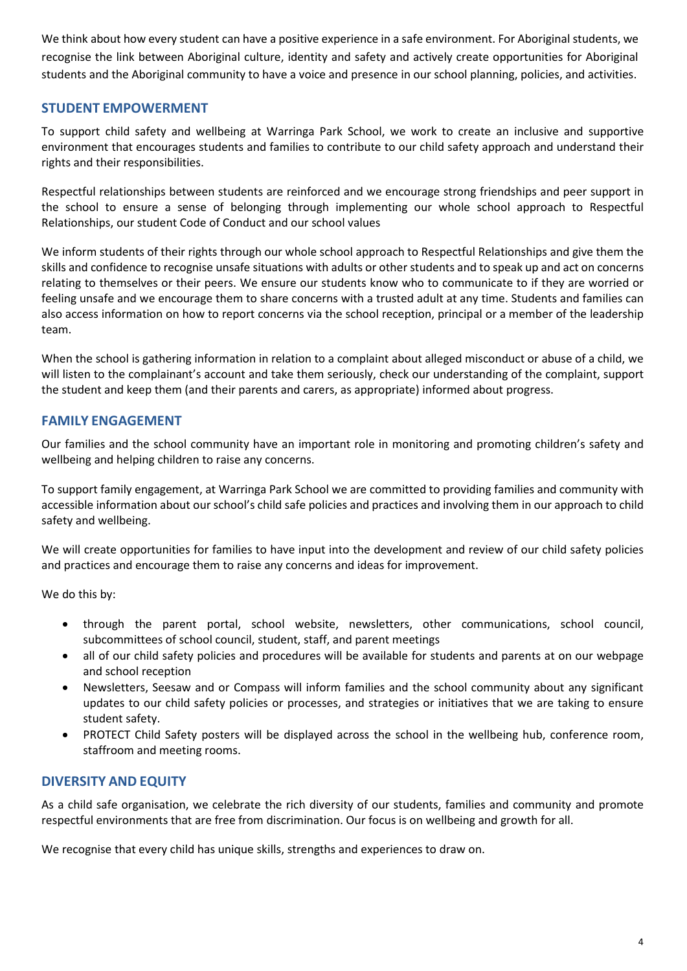We think about how every student can have a positive experience in a safe environment. For Aboriginal students, we recognise the link between Aboriginal culture, identity and safety and actively create opportunities for Aboriginal students and the Aboriginal community to have a voice and presence in our school planning, policies, and activities.

# **STUDENT EMPOWERMENT**

To support child safety and wellbeing at Warringa Park School, we work to create an inclusive and supportive environment that encourages students and families to contribute to our child safety approach and understand their rights and their responsibilities.

Respectful relationships between students are reinforced and we encourage strong friendships and peer support in the school to ensure a sense of belonging through implementing our whole school approach to Respectful Relationships, our student Code of Conduct and our school values

We inform students of their rights through our whole school approach to Respectful Relationships and give them the skills and confidence to recognise unsafe situations with adults or other students and to speak up and act on concerns relating to themselves or their peers. We ensure our students know who to communicate to if they are worried or feeling unsafe and we encourage them to share concerns with a trusted adult at any time. Students and families can also access information on how to report concerns via the school reception, principal or a member of the leadership team.

When the school is gathering information in relation to a complaint about alleged misconduct or abuse of a child, we will listen to the complainant's account and take them seriously, check our understanding of the complaint, support the student and keep them (and their parents and carers, as appropriate) informed about progress.

## **FAMILY ENGAGEMENT**

Our families and the school community have an important role in monitoring and promoting children's safety and wellbeing and helping children to raise any concerns.

To support family engagement, at Warringa Park School we are committed to providing families and community with accessible information about our school's child safe policies and practices and involving them in our approach to child safety and wellbeing.

We will create opportunities for families to have input into the development and review of our child safety policies and practices and encourage them to raise any concerns and ideas for improvement.

We do this by:

- through the parent portal, school website, newsletters, other communications, school council, subcommittees of school council, student, staff, and parent meetings
- all of our child safety policies and procedures will be available for students and parents at on our webpage and school reception
- Newsletters, Seesaw and or Compass will inform families and the school community about any significant updates to our child safety policies or processes, and strategies or initiatives that we are taking to ensure student safety.
- PROTECT Child Safety posters will be displayed across the school in the wellbeing hub, conference room, staffroom and meeting rooms.

#### **DIVERSITY AND EQUITY**

As a child safe organisation, we celebrate the rich diversity of our students, families and community and promote respectful environments that are free from discrimination. Our focus is on wellbeing and growth for all.

We recognise that every child has unique skills, strengths and experiences to draw on.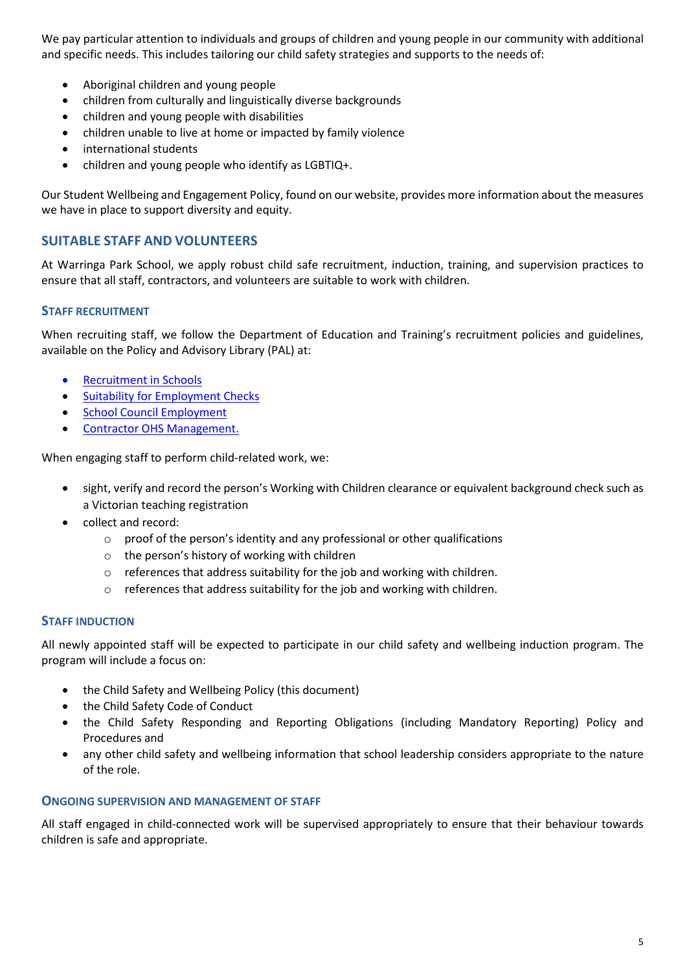We pay particular attention to individuals and groups of children and young people in our community with additional and specific needs. This includes tailoring our child safety strategies and supports to the needs of:

- Aboriginal children and young people
- children from culturally and linguistically diverse backgrounds
- children and young people with disabilities
- children unable to live at home or impacted by family violence
- international students
- children and young people who identify as LGBTIQ+.

Our Student Wellbeing and Engagement Policy, found on our website, provides more information about the measures we have in place to support diversity and equity.

# **SUITABLE STAFF AND VOLUNTEERS**

At Warringa Park School, we apply robust child safe recruitment, induction, training, and supervision practices to ensure that all staff, contractors, and volunteers are suitable to work with children.

## **STAFF RECRUITMENT**

When recruiting staff, we follow the Department of Education and Training's recruitment policies and guidelines, available on the Policy and Advisory Library (PAL) at:

- [Recruitment in Schools](https://www2.education.vic.gov.au/pal/recruitment-schools/overview)
- [Suitability for Employment Checks](https://www2.education.vic.gov.au/pal/suitability-employment-checks/overview)
- [School Council Employment](https://www2.education.vic.gov.au/pal/school-council-employment/overview)
- [Contractor OHS Management.](https://www2.education.vic.gov.au/pal/contractor-ohs-management/policy)

When engaging staff to perform child-related work, we:

- sight, verify and record the person's Working with Children clearance or equivalent background check such as a Victorian teaching registration
- collect and record:
	- o proof of the person's identity and any professional or other qualifications
	- o the person's history of working with children
	- o references that address suitability for the job and working with children.
	- $\circ$  references that address suitability for the job and working with children.

#### **STAFF INDUCTION**

All newly appointed staff will be expected to participate in our child safety and wellbeing induction program. The program will include a focus on:

- the Child Safety and Wellbeing Policy (this document)
- the Child Safety Code of Conduct
- the Child Safety Responding and Reporting Obligations (including Mandatory Reporting) Policy and Procedures and
- any other child safety and wellbeing information that school leadership considers appropriate to the nature of the role.

#### **ONGOING SUPERVISION AND MANAGEMENT OF STAFF**

All staff engaged in child-connected work will be supervised appropriately to ensure that their behaviour towards children is safe and appropriate.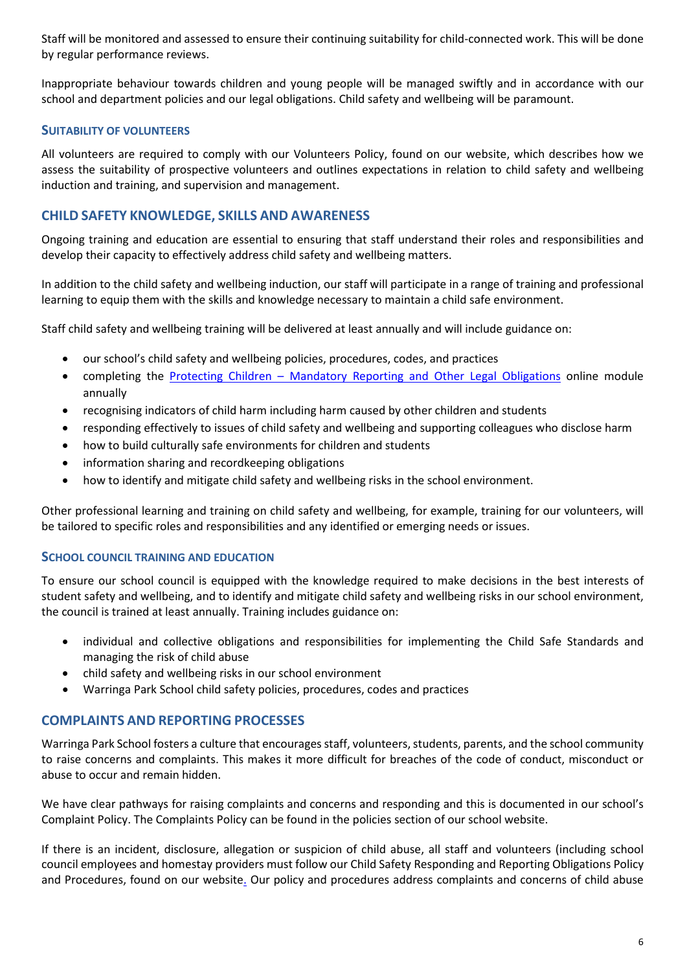Staff will be monitored and assessed to ensure their continuing suitability for child-connected work. This will be done by regular performance reviews.

Inappropriate behaviour towards children and young people will be managed swiftly and in accordance with our school and department policies and our legal obligations. Child safety and wellbeing will be paramount.

### **SUITABILITY OF VOLUNTEERS**

All volunteers are required to comply with our Volunteers Policy, found on our website, which describes how we assess the suitability of prospective volunteers and outlines expectations in relation to child safety and wellbeing induction and training, and supervision and management.

# **CHILD SAFETY KNOWLEDGE, SKILLS AND AWARENESS**

Ongoing training and education are essential to ensuring that staff understand their roles and responsibilities and develop their capacity to effectively address child safety and wellbeing matters.

In addition to the child safety and wellbeing induction, our staff will participate in a range of training and professional learning to equip them with the skills and knowledge necessary to maintain a child safe environment.

Staff child safety and wellbeing training will be delivered at least annually and will include guidance on:

- our school's child safety and wellbeing policies, procedures, codes, and practices
- completing the Protecting Children [Mandatory Reporting and Other Legal Obligations](http://elearn.com.au/det/protectingchildren/) online module annually
- recognising indicators of child harm including harm caused by other children and students
- responding effectively to issues of child safety and wellbeing and supporting colleagues who disclose harm
- how to build culturally safe environments for children and students
- information sharing and recordkeeping obligations
- how to identify and mitigate child safety and wellbeing risks in the school environment.

Other professional learning and training on child safety and wellbeing, for example, training for our volunteers, will be tailored to specific roles and responsibilities and any identified or emerging needs or issues.

#### **SCHOOL COUNCIL TRAINING AND EDUCATION**

To ensure our school council is equipped with the knowledge required to make decisions in the best interests of student safety and wellbeing, and to identify and mitigate child safety and wellbeing risks in our school environment, the council is trained at least annually. Training includes guidance on:

- individual and collective obligations and responsibilities for implementing the Child Safe Standards and managing the risk of child abuse
- child safety and wellbeing risks in our school environment
- Warringa Park School child safety policies, procedures, codes and practices

# **COMPLAINTS AND REPORTING PROCESSES**

Warringa Park School fosters a culture that encourages staff, volunteers, students, parents, and the school community to raise concerns and complaints. This makes it more difficult for breaches of the code of conduct, misconduct or abuse to occur and remain hidden.

We have clear pathways for raising complaints and concerns and responding and this is documented in our school's Complaint Policy. The Complaints Policy can be found in the policies section of our school website.

If there is an incident, disclosure, allegation or suspicion of child abuse, all staff and volunteers (including school council employees and homestay providers must follow our Child Safety Responding and Reporting Obligations Policy and Procedures, found on our website. Our policy and procedures address complaints and concerns of child abuse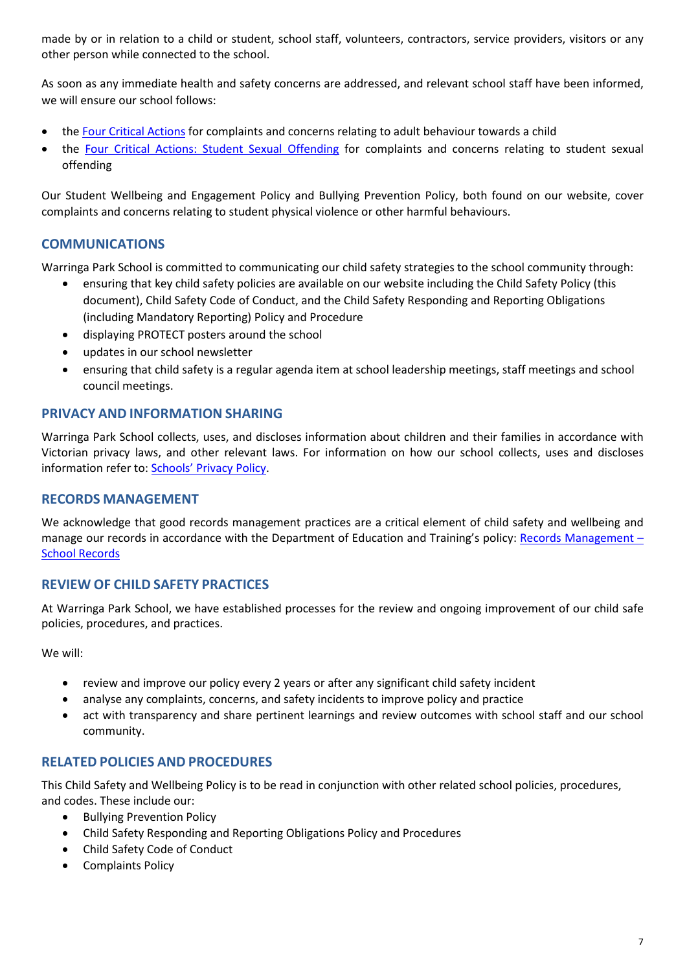made by or in relation to a child or student, school staff, volunteers, contractors, service providers, visitors or any other person while connected to the school.

As soon as any immediate health and safety concerns are addressed, and relevant school staff have been informed, we will ensure our school follows:

- the [Four Critical Actions](https://www.education.vic.gov.au/Documents/about/programs/health/protect/FourCriticalActions_ChildAbuse.pdf) for complaints and concerns relating to adult behaviour towards a child
- the [Four Critical Actions: Student Sexual Offending](https://www.education.vic.gov.au/school/teachers/health/childprotection/Pages/stusexual.aspx) for complaints and concerns relating to student sexual offending

Our Student Wellbeing and Engagement Policy and Bullying Prevention Policy, both found on our website, cover complaints and concerns relating to student physical violence or other harmful behaviours.

# **COMMUNICATIONS**

Warringa Park School is committed to communicating our child safety strategies to the school community through:

- ensuring that key child safety policies are available on our website including the Child Safety Policy (this document), Child Safety Code of Conduct, and the Child Safety Responding and Reporting Obligations (including Mandatory Reporting) Policy and Procedure
- displaying PROTECT posters around the school
- updates in our school newsletter
- ensuring that child safety is a regular agenda item at school leadership meetings, staff meetings and school council meetings.

## **PRIVACY AND INFORMATION SHARING**

Warringa Park School collects, uses, and discloses information about children and their families in accordance with Victorian privacy laws, and other relevant laws. For information on how our school collects, uses and discloses information refer to: [Schools' Privacy Policy.](https://www.education.vic.gov.au/Pages/schoolsprivacypolicy.aspx)

#### **RECORDS MANAGEMENT**

We acknowledge that good records management practices are a critical element of child safety and wellbeing and manage our records in accordance with the Department of Education and Training's policy: [Records Management –](https://www2.education.vic.gov.au/pal/records-management/policy) [School Records](https://www2.education.vic.gov.au/pal/records-management/policy)

# **REVIEW OF CHILD SAFETY PRACTICES**

At Warringa Park School, we have established processes for the review and ongoing improvement of our child safe policies, procedures, and practices.

We will:

- review and improve our policy every 2 years or after any significant child safety incident
- analyse any complaints, concerns, and safety incidents to improve policy and practice
- act with transparency and share pertinent learnings and review outcomes with school staff and our school community.

# **RELATED POLICIES AND PROCEDURES**

This Child Safety and Wellbeing Policy is to be read in conjunction with other related school policies, procedures, and codes. These include our:

- Bullying Prevention Policy
- Child Safety Responding and Reporting Obligations Policy and Procedures
- Child Safety Code of Conduct
- Complaints Policy